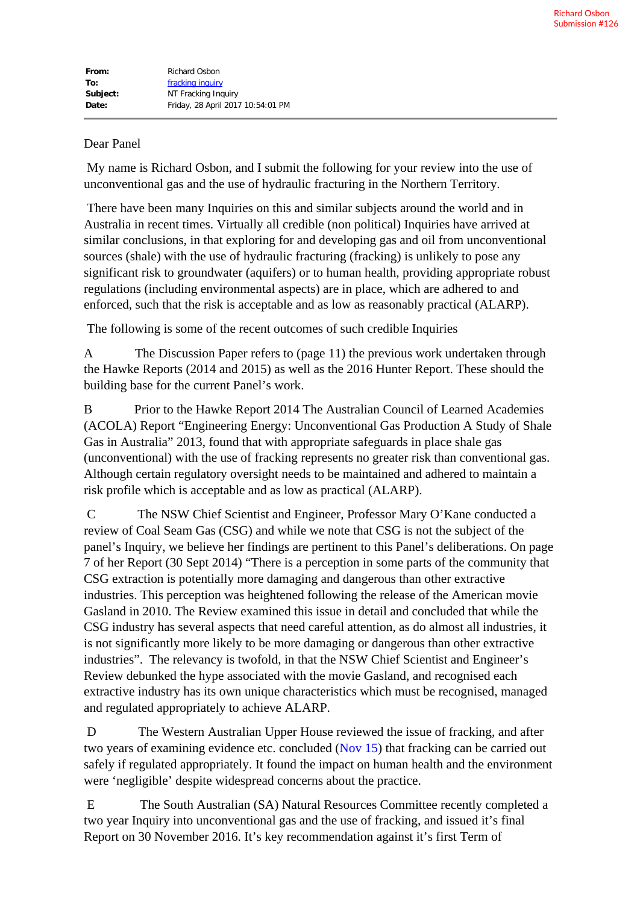## Dear Panel

My name is Richard Osbon, and I submit the following for your review into the use of unconventional gas and the use of hydraulic fracturing in the Northern Territory.

There have been many Inquiries on this and similar subjects around the world and in Australia in recent times. Virtually all credible (non political) Inquiries have arrived at similar conclusions, in that exploring for and developing gas and oil from unconventional sources (shale) with the use of hydraulic fracturing (fracking) is unlikely to pose any significant risk to groundwater (aquifers) or to human health, providing appropriate robust regulations (including environmental aspects) are in place, which are adhered to and enforced, such that the risk is acceptable and as low as reasonably practical (ALARP).

The following is some of the recent outcomes of such credible Inquiries

A The Discussion Paper refers to (page 11) the previous work undertaken through the Hawke Reports (2014 and 2015) as well as the 2016 Hunter Report. These should the building base for the current Panel's work.

B Prior to the Hawke Report 2014 The Australian Council of Learned Academies (ACOLA) Report "Engineering Energy: Unconventional Gas Production A Study of Shale Gas in Australia" 2013, found that with appropriate safeguards in place shale gas (unconventional) with the use of fracking represents no greater risk than conventional gas. Although certain regulatory oversight needs to be maintained and adhered to maintain a risk profile which is acceptable and as low as practical (ALARP).

C The NSW Chief Scientist and Engineer, Professor Mary O'Kane conducted a review of Coal Seam Gas (CSG) and while we note that CSG is not the subject of the panel's Inquiry, we believe her findings are pertinent to this Panel's deliberations. On page 7 of her Report (30 Sept 2014) "There is a perception in some parts of the community that CSG extraction is potentially more damaging and dangerous than other extractive industries. This perception was heightened following the release of the American movie Gasland in 2010. The Review examined this issue in detail and concluded that while the CSG industry has several aspects that need careful attention, as do almost all industries, it is not significantly more likely to be more damaging or dangerous than other extractive industries". The relevancy is twofold, in that the NSW Chief Scientist and Engineer's Review debunked the hype associated with the movie Gasland, and recognised each extractive industry has its own unique characteristics which must be recognised, managed and regulated appropriately to achieve ALARP.

D The Western Australian Upper House reviewed the issue of fracking, and after two years of examining evidence etc. concluded ([Nov 15](x-apple-data-detectors://6/)) that fracking can be carried out safely if regulated appropriately. It found the impact on human health and the environment were 'negligible' despite widespread concerns about the practice.

E The South Australian (SA) Natural Resources Committee recently completed a two year Inquiry into unconventional gas and the use of fracking, and issued it's final Report on 30 November 2016. It's key recommendation against it's first Term of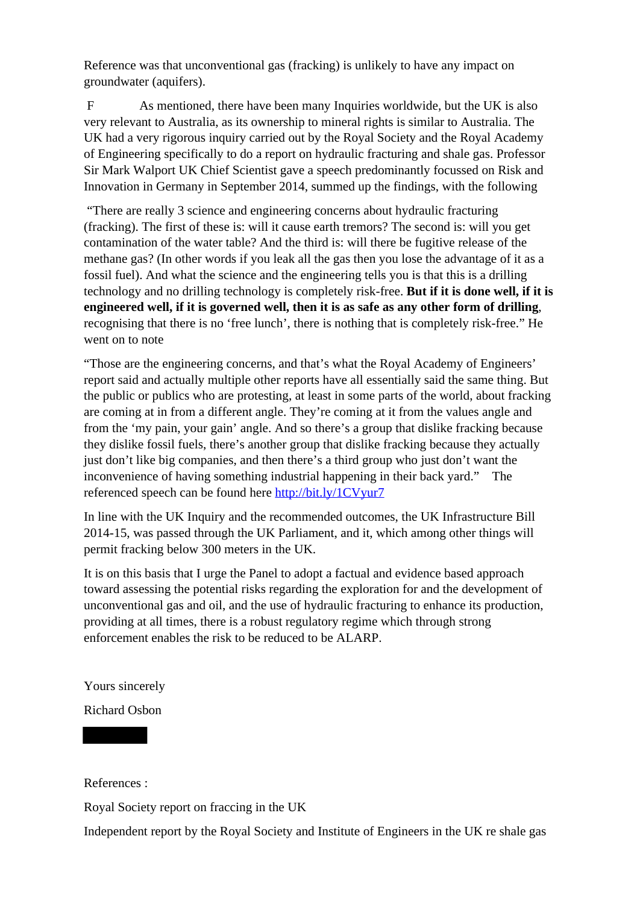Reference was that unconventional gas (fracking) is unlikely to have any impact on groundwater (aquifers).

F As mentioned, there have been many Inquiries worldwide, but the UK is also very relevant to Australia, as its ownership to mineral rights is similar to Australia. The UK had a very rigorous inquiry carried out by the Royal Society and the Royal Academy of Engineering specifically to do a report on hydraulic fracturing and shale gas. Professor Sir Mark Walport UK Chief Scientist gave a speech predominantly focussed on Risk and Innovation in Germany in September 2014, summed up the findings, with the following

"There are really 3 science and engineering concerns about hydraulic fracturing (fracking). The first of these is: will it cause earth tremors? The second is: will you get contamination of the water table? And the third is: will there be fugitive release of the methane gas? (In other words if you leak all the gas then you lose the advantage of it as a fossil fuel). And what the science and the engineering tells you is that this is a drilling technology and no drilling technology is completely risk-free. **But if it is done well, if it is engineered well, if it is governed well, then it is as safe as any other form of drilling**, recognising that there is no 'free lunch', there is nothing that is completely risk-free." He went on to note

"Those are the engineering concerns, and that's what the Royal Academy of Engineers' report said and actually multiple other reports have all essentially said the same thing. But the public or publics who are protesting, at least in some parts of the world, about fracking are coming at in from a different angle. They're coming at it from the values angle and from the 'my pain, your gain' angle. And so there's a group that dislike fracking because they dislike fossil fuels, there's another group that dislike fracking because they actually just don't like big companies, and then there's a third group who just don't want the inconvenience of having something industrial happening in their back yard." The referenced speech can be found here [http://bit.ly/1CVyur7](http://pesa.us9.list-manage2.com/track/click?u=6ccd42798cb22f546274936b3&id=158a364db0&e=2b0292ea35)

In line with the UK Inquiry and the recommended outcomes, the UK Infrastructure Bill 2014-15, was passed through the UK Parliament, and it, which among other things will permit fracking below 300 meters in the UK.

It is on this basis that I urge the Panel to adopt a factual and evidence based approach toward assessing the potential risks regarding the exploration for and the development of unconventional gas and oil, and the use of hydraulic fracturing to enhance its production, providing at all times, there is a robust regulatory regime which through strong enforcement enables the risk to be reduced to be ALARP.

Yours sincerely

Richard Osbon

References :

Royal Society report on fraccing in the UK

Independent report by the Royal Society and Institute of Engineers in the UK re shale gas